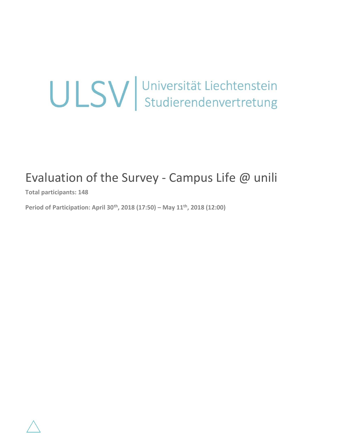# ULSV Universität Liechtenstein

# Evaluation of the Survey - Campus Life  $@$  unili

**Total participants: 148**

**Period of Participation: April 30th, 2018 (17:50) – May 11th, 2018 (12:00)**

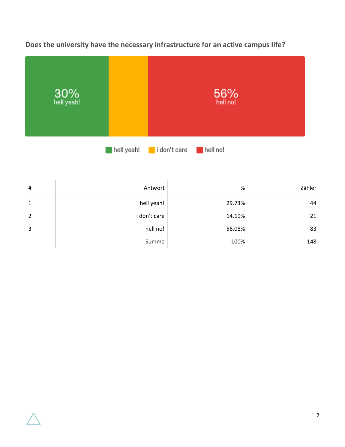**Does the university have the necessary infrastructure for an active campus life?**



| # | Antwort      | %      | Zähler |
|---|--------------|--------|--------|
| 1 | hell yeah!   | 29.73% | 44     |
| 2 | i don't care | 14.19% | 21     |
| 3 | hell no!     | 56.08% | 83     |
|   | Summe        | 100%   | 148    |

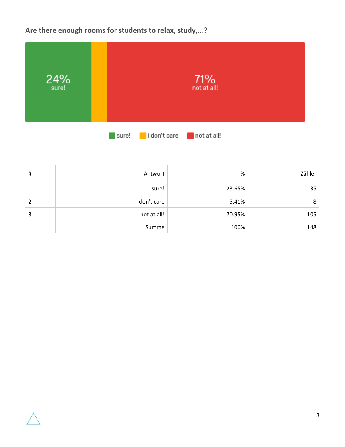**Are there enough rooms for students to relax, study,...?**

| $24\%$ sure! | <b>71%</b><br>not at all!                           |
|--------------|-----------------------------------------------------|
|              | i don't care<br>$\blacksquare$ not at all!<br>sure! |

| $\sharp$       | Antwort      | %      | Zähler |
|----------------|--------------|--------|--------|
| 1              | sure!        | 23.65% | 35     |
| $\overline{2}$ | i don't care | 5.41%  | 8      |
| 3              | not at all!  | 70.95% | 105    |
|                | Summe        | 100%   | 148    |

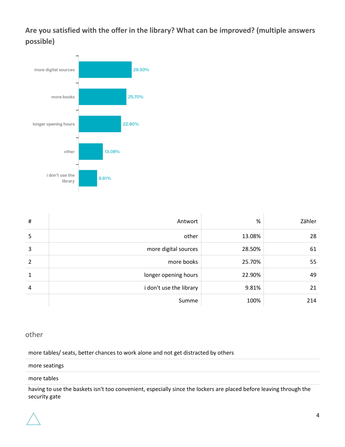**Are you satisfied with the offer in the library? What can be improved? (multiple answers possible)**



| #              | Antwort                 | %      | Zähler |
|----------------|-------------------------|--------|--------|
| 5              | other                   | 13.08% | 28     |
| 3              | more digital sources    | 28.50% | 61     |
| 2              | more books              | 25.70% | 55     |
| $\mathbf{1}$   | longer opening hours    | 22.90% | 49     |
| $\overline{4}$ | i don't use the library | 9.81%  | 21     |
|                | Summe                   | 100%   | 214    |

#### other

more tables/ seats, better chances to work alone and not get distracted by others

#### more seatings

#### more tables

having to use the baskets isn't too convenient, especially since the lockers are placed before leaving through the security gate

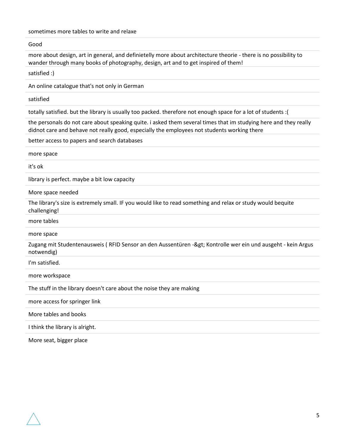sometimes more tables to write and relaxe

Good

more about design, art in general, and definietelly more about architecture theorie - there is no possibility to wander through many books of photography, design, art and to get inspired of them!

satisfied :)

An online catalogue that's not only in German

satisfied

totally satisfied. but the library is usually too packed. therefore not enough space for a lot of students :(

the personals do not care about speaking quite. i asked them several times that im studying here and they really didnot care and behave not really good, especially the employees not students working there

better access to papers and search databases

| more space                                                                                                                  |
|-----------------------------------------------------------------------------------------------------------------------------|
| it's ok                                                                                                                     |
| library is perfect. maybe a bit low capacity                                                                                |
| More space needed                                                                                                           |
| The library's size is extremely small. IF you would like to read something and relax or study would bequite<br>challenging! |
| more tables                                                                                                                 |
| more space                                                                                                                  |
| Zugang mit Studentenausweis (RFID Sensor an den Aussentüren -> Kontrolle wer ein und ausgeht - kein Argus<br>notwendig)     |
| I'm satisfied.                                                                                                              |
| more workspace                                                                                                              |
| The stuff in the library doesn't care about the noise they are making                                                       |
| more access for springer link                                                                                               |
| More tables and books                                                                                                       |
| I think the library is alright.                                                                                             |
|                                                                                                                             |

More seat, bigger place

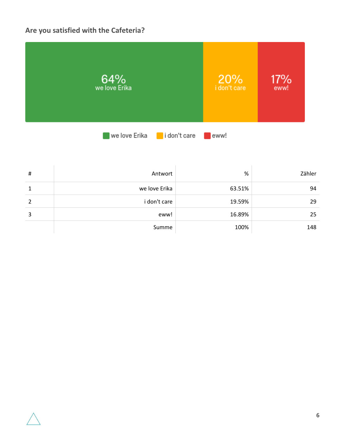# **Are you satisfied with the Cafeteria?**



| # | Antwort       | %      | Zähler |
|---|---------------|--------|--------|
| 1 | we love Erika | 63.51% | 94     |
| 2 | i don't care  | 19.59% | 29     |
| 3 | eww!          | 16.89% | 25     |
|   | Summe         | 100%   | 148    |

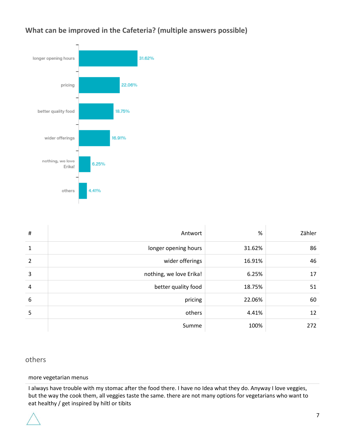## **What can be improved in the Cafeteria? (multiple answers possible)**



| $\sharp$       | Antwort                 | %      | Zähler |
|----------------|-------------------------|--------|--------|
| 1              | longer opening hours    | 31.62% | 86     |
| $\overline{2}$ | wider offerings         | 16.91% | 46     |
| 3              | nothing, we love Erika! | 6.25%  | 17     |
| 4              | better quality food     | 18.75% | 51     |
| 6              | pricing                 | 22.06% | 60     |
| 5              | others                  | 4.41%  | 12     |
|                | Summe                   | 100%   | 272    |

#### others

#### more vegetarian menus

I always have trouble with my stomac after the food there. I have no Idea what they do. Anyway I love veggies, but the way the cook them, all veggies taste the same. there are not many options for vegetarians who want to eat healthy / get inspired by hiltl or tibits

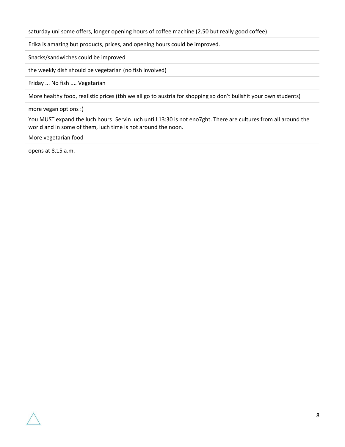saturday uni some offers, longer opening hours of coffee machine (2.50 but really good coffee)

Erika is amazing but products, prices, and opening hours could be improved.

Snacks/sandwiches could be improved

the weekly dish should be vegetarian (no fish involved)

Friday ... No fish .... Vegetarian

More healthy food, realistic prices (tbh we all go to austria for shopping so don't bullshit your own students)

more vegan options :)

You MUST expand the luch hours! Servin luch untill 13:30 is not eno7ght. There are cultures from all around the world and in some of them, luch time is not around the noon.

More vegetarian food

opens at 8.15 a.m.

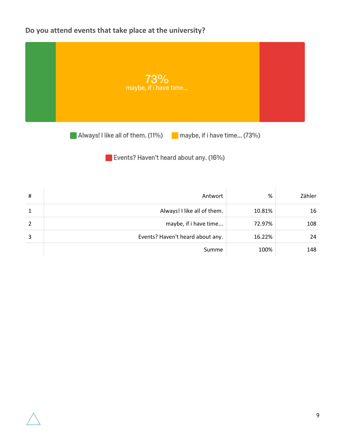# **Do you attend events that take place at the university?**



Always! I like all of them. (11%) maybe, if i have time... (73%)

Events? Haven't heard about any. (16%)

| $\sharp$ | Antwort                          | %      | Zähler |
|----------|----------------------------------|--------|--------|
| 1        | Always! I like all of them.      | 10.81% | 16     |
| 2        | maybe, if i have time            | 72.97% | 108    |
| 3        | Events? Haven't heard about any. | 16.22% | 24     |
|          | Summe                            | 100%   | 148    |

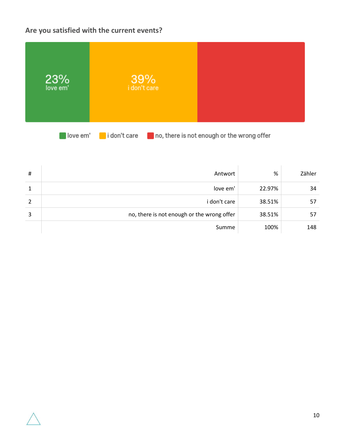# **Are you satisfied with the current events?**



love em' lidon't care no, there is not enough or the wrong offer

| #            | Antwort                                    | %      | Zähler |
|--------------|--------------------------------------------|--------|--------|
| $\mathbf{1}$ | love em'                                   | 22.97% | 34     |
| 2            | i don't care                               | 38.51% | 57     |
| 3            | no, there is not enough or the wrong offer | 38.51% | 57     |
|              | Summe                                      | 100%   | 148    |

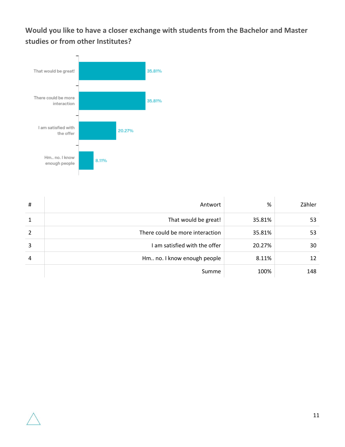**Would you like to have a closer exchange with students from the Bachelor and Master studies or from other Institutes?**



| $\sharp$       | Antwort                         | %      | Zähler |
|----------------|---------------------------------|--------|--------|
| $\mathbf{1}$   | That would be great!            | 35.81% | 53     |
| 2              | There could be more interaction | 35.81% | 53     |
| 3              | I am satisfied with the offer   | 20.27% | 30     |
| $\overline{4}$ | Hm no. I know enough people     | 8.11%  | 12     |
|                | Summe                           | 100%   | 148    |

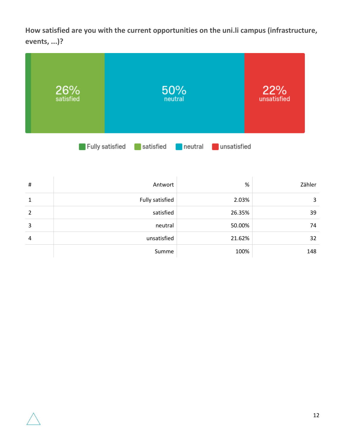**How satisfied are you with the current opportunities on the uni.li campus (infrastructure, events, ...)?**



| #              | Antwort         | %      | Zähler |
|----------------|-----------------|--------|--------|
| $\mathbf{1}$   | Fully satisfied | 2.03%  | 3      |
| 2              | satisfied       | 26.35% | 39     |
| 3              | neutral         | 50.00% | 74     |
| $\overline{a}$ | unsatisfied     | 21.62% | 32     |
|                | Summe           | 100%   | 148    |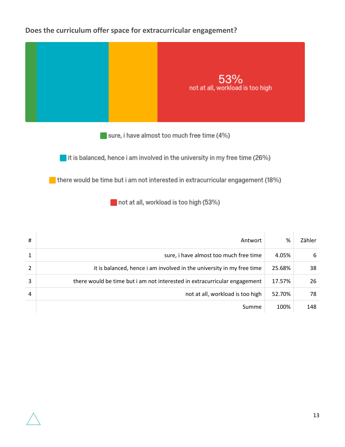### **Does the curriculum offer space for extracurricular engagement?**



not at all, workload is too high (53%)

| # | Antwort                                                                   | %      | Zähler |
|---|---------------------------------------------------------------------------|--------|--------|
|   | sure, i have almost too much free time                                    | 4.05%  | 6      |
|   | it is balanced, hence i am involved in the university in my free time     | 25.68% | 38     |
| 3 | there would be time but i am not interested in extracurricular engagement | 17.57% | 26     |
| 4 | not at all, workload is too high                                          | 52.70% | 78     |
|   | Summe                                                                     | 100%   | 148    |

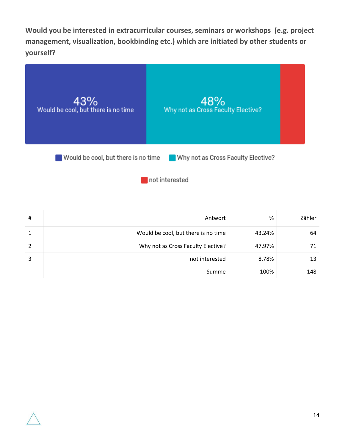**Would you be interested in extracurricular courses, seminars or workshops (e.g. project management, visualization, bookbinding etc.) which are initiated by other students or yourself?**



Would be cool, but there is no time Why not as Cross Faculty Elective?

not interested

| # | Antwort                             | %      | Zähler |
|---|-------------------------------------|--------|--------|
|   | Would be cool, but there is no time | 43.24% | 64     |
|   | Why not as Cross Faculty Elective?  | 47.97% | 71     |
| 3 | not interested                      | 8.78%  | 13     |
|   | Summe                               | 100%   | 148    |

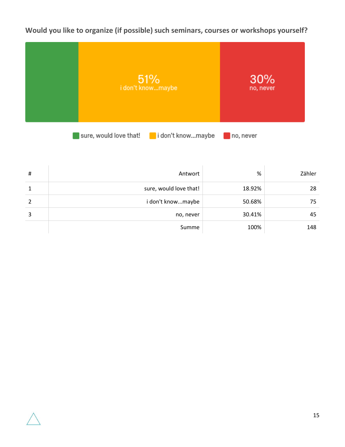**Would you like to organize (if possible) such seminars, courses or workshops yourself?**



| # | Antwort                | %      | Zähler |
|---|------------------------|--------|--------|
| 1 | sure, would love that! | 18.92% | 28     |
| 2 | i don't knowmaybe      | 50.68% | 75     |
| 3 | no, never              | 30.41% | 45     |
|   | Summe                  | 100%   | 148    |

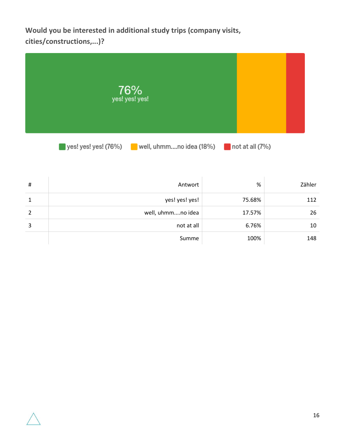**Would you be interested in additional study trips (company visits, cities/constructions,...)?**



# Antwort % Zähler 1 yes! yes! yes! yes! 75.68% 112 2 well, uhmm....no idea 17.57% 26  $\begin{array}{|c|c|c|c|c|}\hline \text{3} & \text{6.76\%} & \text{10}\ \hline \end{array}$ 

Summe 100% 100% 148

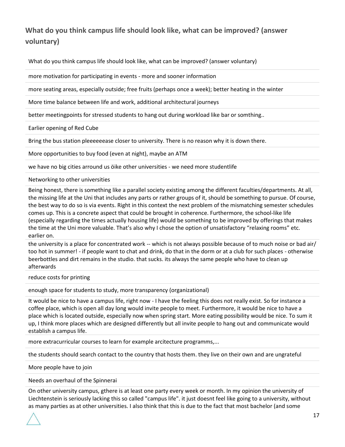# **What do you think campus life should look like, what can be improved? (answer voluntary)**

What do you think campus life should look like, what can be improved? (answer voluntary)

more motivation for participating in events - more and sooner information

more seating areas, especially outside; free fruits (perhaps once a week); better heating in the winter

More time balance between life and work, additional architectural journeys

better meetingpoints for stressed students to hang out during workload like bar or somthing..

Earlier opening of Red Cube

Bring the bus station pleeeeeease closer to university. There is no reason why it is down there.

More opportunities to buy food (even at night), maybe an ATM

we have no big cities arround us öike other universities - we need more studentlife

Networking to other universities

Being honest, there is something like a parallel society existing among the different faculties/departments. At all, the missing life at the Uni that includes any parts or rather groups of it, should be something to pursue. Of course, the best way to do so is via events. Right in this context the next problem of the mismatching semester schedules comes up. This is a concrete aspect that could be brought in coherence. Furthermore, the school-like life (especially regarding the times actually housing life) would be something to be improved by offerings that makes the time at the Uni more valuable. That's also why I chose the option of unsatisfactory "relaxing rooms" etc. earlier on.

the university is a place for concentrated work -- which is not always possible because of to much noise or bad air/ too hot in summer! - if people want to chat and drink, do that in the dorm or at a club for such places - otherwise beerbottles and dirt remains in the studio. that sucks. its always the same people who have to clean up afterwards

reduce costs for printing

enough space for students to study, more transparency (organizational)

It would be nice to have a campus life, right now - I have the feeling this does not really exist. So for instance a coffee place, which is open all day long would invite people to meet. Furthermore, it would be nice to have a place which is located outside, especially now when spring start. More eating possibility would be nice. To sum it up, I think more places which are designed differently but all invite people to hang out and communicate would establish a campus life.

more extracurricular courses to learn for example arcitecture programms,...

the students should search contact to the country that hosts them. they live on their own and are ungrateful

More people have to join

Needs an overhaul of the Spinnerai

On other university campus, gthere is at least one party every week or month. In my opinion the university of Liechtenstein is seriously lacking this so called "campus life". it just doesnt feel like going to a university, without as many parties as at other universities. I also think that this is due to the fact that most bachelor (and some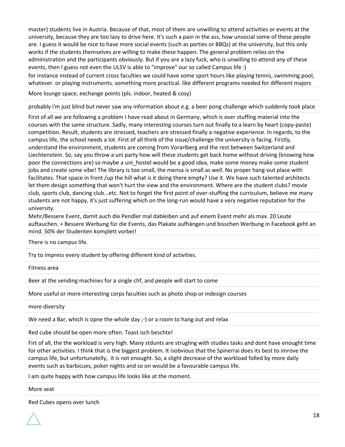master) students live in Austria. Because of that, most of them are unwilling to attend activities or events at the university, because they are too lazy to drive here. It's such a pain in the ass, how unsocial some of these people are. I guess it would be nice to have more social events (such as parties or BBQs) at the university, but this only works if the students themselves are willing to make these happen. The general problem relies on the administration and the participants obviously. But if you are a lazy fuck, who is unwilling to attend any of these events, then I guess not even the ULSV is able to "improve" our so called Campus life :)

for instance instead of current cross faculties we could have some sport hours like playing tennis, swimming pool, whatever. or playing instruments. something more practical. like different programs needed for different majors

More lounge space, exchange points (pls. indoor, heated & cosy)

probably i'm just blind but never saw any information about e.g. a beer pong challenge which suddenly took place

First of all we are following a problem I have read about in Germany, which is over stuffing material into the courses with the same structure. Sadly, many interesting courses turn out finally to a learn by heart (copy-paste) competition. Result, students are stressed, teachers are stressed finally a negative experience. In regards, to the campus life, the school needs a lot. First of all think of the issue/challenge the university is facing. Firstly, understand the environment, students are coming from Vorarlberg and the rest between Switzerland and Liechtenstein. So, say you throw a uni party how will these students get back home without driving (knowing how poor the connections are) so maybe a uni\_hostel would be a good idea, make some money make some student jobs and create some vibe! The library is too small, the mensa is small as well. No proper hang-out place with facilitates. That space in front /up the hill what is it doing there empty? Use it. We have such talented architects let them design something that won't hurt the view and the environment. Where are the student clubs? movie club, sports club, dancing club...etc. Not to forget the first point of over-stuffing the curriculum, believe me many students are not happy, it's just suffering which on the long-run would have a very negative reputation for the university.

Mehr/Bessere Event, damit auch die Pendler mal dableiben und auf einem Event mehr als max. 20 Leute auftauchen. + Bessere Werbung für die Events, das Plakate aufhängen und bisschen Werbung in Facebook geht an mind. 50% der Studenten komplett vorbei!

There is no campus life.

Try to impress every student by offering different kind of activities.

Fitness area

Beer at the vending machines for a single chf, and people will start to come

More useful or more interesting corps faculties such as photo shop or indesign courses

more diversity

We need a Bar, which is opne the whole day ;-) or a room to hang out and relax

Red cube should be open more often. Toast isch beschte!

Firt of all, the the workload is very high. Many stdunts are strugling with studies tasks and dont have enought time for other activities. I think that is the biggest problem. It isobvious that the Spinerrai does its best to imrove the campus life, but unfortunatelly, it is not enought. So, a slight decrease of the workload folled by more daily events such as barbicues, poker nights and so on would be a favourable campus life.

I am quite happy with how campus life looks like at the moment.

More seat

Red Cubes opens over lunch

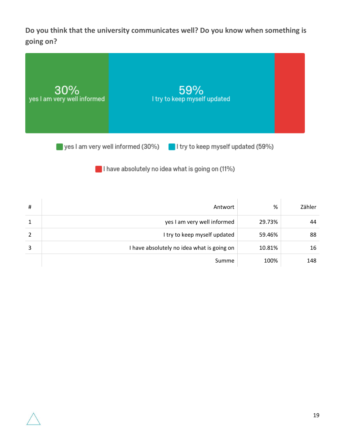**Do you think that the university communicates well? Do you know when something is going on?**



I have absolutely no idea what is going on (11%)

| # | Antwort                                    | %      | Zähler |
|---|--------------------------------------------|--------|--------|
|   | yes I am very well informed                | 29.73% | 44     |
| 2 | I try to keep myself updated               | 59.46% | 88     |
| 3 | I have absolutely no idea what is going on | 10.81% | 16     |
|   | Summe                                      | 100%   | 148    |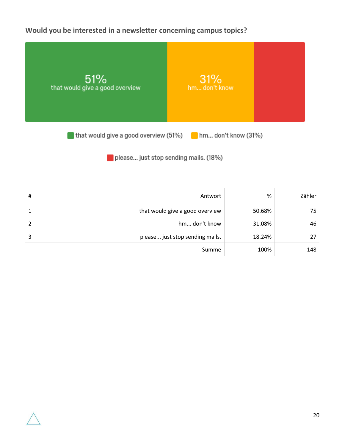**Would you be interested in a newsletter concerning campus topics?**



please... just stop sending mails. (18%)

| # | Antwort                         | %      | Zähler |
|---|---------------------------------|--------|--------|
| 1 | that would give a good overview | 50.68% | 75     |
| 2 | hm don't know                   | 31.08% | 46     |
| 3 | please just stop sending mails. | 18.24% | 27     |
|   | Summe                           | 100%   | 148    |

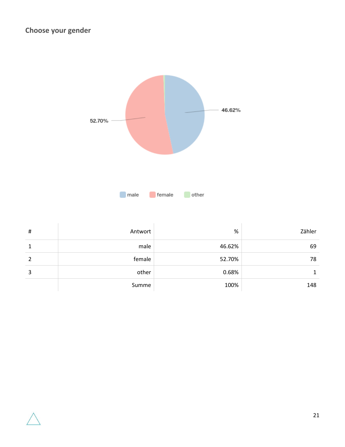

| # | Antwort | %      | Zähler |
|---|---------|--------|--------|
| 1 | male    | 46.62% | 69     |
| 2 | female  | 52.70% | 78     |
| 3 | other   | 0.68%  |        |
|   | Summe   | 100%   | 148    |

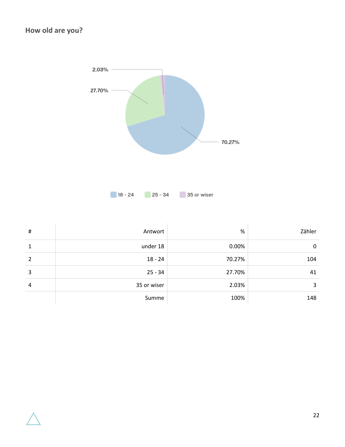

| # | Antwort     | %      | Zähler |
|---|-------------|--------|--------|
| 1 | under 18    | 0.00%  | 0      |
| 2 | $18 - 24$   | 70.27% | 104    |
| 3 | $25 - 34$   | 27.70% | 41     |
| 4 | 35 or wiser | 2.03%  | 3      |
|   | Summe       | 100%   | 148    |